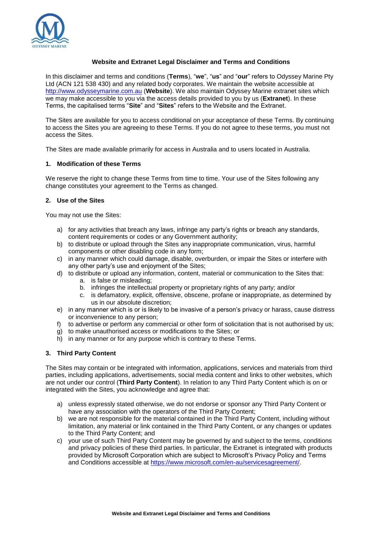

# **Website and Extranet Legal Disclaimer and Terms and Conditions**

In this disclaimer and terms and conditions (**Terms**), "**we**", "**us**" and "**our**" refers to Odyssey Marine Pty Ltd (ACN 121 538 430) and any related body corporates. We maintain the website accessible at [http://www.odysseymarine.com.au](http://www.odysseymarine.com.au/) (**Website**). We also maintain Odyssey Marine extranet sites which we may make accessible to you via the access details provided to you by us (**Extranet**). In these Terms, the capitalised terms "**Site**" and "**Sites**" refers to the Website and the Extranet.

The Sites are available for you to access conditional on your acceptance of these Terms. By continuing to access the Sites you are agreeing to these Terms. If you do not agree to these terms, you must not access the Sites.

The Sites are made available primarily for access in Australia and to users located in Australia.

# **1. Modification of these Terms**

We reserve the right to change these Terms from time to time. Your use of the Sites following any change constitutes your agreement to the Terms as changed.

### **2. Use of the Sites**

You may not use the Sites:

- a) for any activities that breach any laws, infringe any party's rights or breach any standards, content requirements or codes or any Government authority;
- b) to distribute or upload through the Sites any inappropriate communication, virus, harmful components or other disabling code in any form;
- c) in any manner which could damage, disable, overburden, or impair the Sites or interfere with any other party's use and enjoyment of the Sites;
- d) to distribute or upload any information, content, material or communication to the Sites that:
	- a. is false or misleading;
	- b. infringes the intellectual property or proprietary rights of any party; and/or
	- c. is defamatory, explicit, offensive, obscene, profane or inappropriate, as determined by us in our absolute discretion;
- e) in any manner which is or is likely to be invasive of a person's privacy or harass, cause distress or inconvenience to any person;
- f) to advertise or perform any commercial or other form of solicitation that is not authorised by us;
- g) to make unauthorised access or modifications to the Sites; or
- h) in any manner or for any purpose which is contrary to these Terms.

# **3. Third Party Content**

The Sites may contain or be integrated with information, applications, services and materials from third parties, including applications, advertisements, social media content and links to other websites, which are not under our control (**Third Party Content**). In relation to any Third Party Content which is on or integrated with the Sites, you acknowledge and agree that:

- a) unless expressly stated otherwise, we do not endorse or sponsor any Third Party Content or have any association with the operators of the Third Party Content;
- b) we are not responsible for the material contained in the Third Party Content, including without limitation, any material or link contained in the Third Party Content, or any changes or updates to the Third Party Content; and
- c) your use of such Third Party Content may be governed by and subject to the terms, conditions and privacy policies of these third parties. In particular, the Extranet is integrated with products provided by Microsoft Corporation which are subject to Microsoft's Privacy Policy and Terms and Conditions accessible at [https://www.microsoft.com/en-au/servicesagreement/.](https://www.microsoft.com/en-au/servicesagreement/)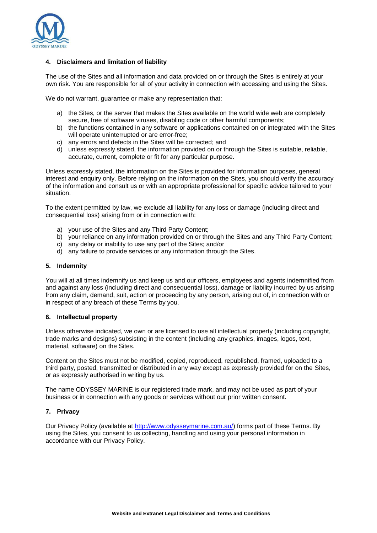

## **4. Disclaimers and limitation of liability**

The use of the Sites and all information and data provided on or through the Sites is entirely at your own risk. You are responsible for all of your activity in connection with accessing and using the Sites.

We do not warrant, guarantee or make any representation that:

- a) the Sites, or the server that makes the Sites available on the world wide web are completely secure, free of software viruses, disabling code or other harmful components;
- b) the functions contained in any software or applications contained on or integrated with the Sites will operate uninterrupted or are error-free;
- c) any errors and defects in the Sites will be corrected; and
- d) unless expressly stated, the information provided on or through the Sites is suitable, reliable, accurate, current, complete or fit for any particular purpose.

Unless expressly stated, the information on the Sites is provided for information purposes, general interest and enquiry only. Before relying on the information on the Sites, you should verify the accuracy of the information and consult us or with an appropriate professional for specific advice tailored to your situation.

To the extent permitted by law, we exclude all liability for any loss or damage (including direct and consequential loss) arising from or in connection with:

- a) your use of the Sites and any Third Party Content;
- b) your reliance on any information provided on or through the Sites and any Third Party Content;
- c) any delay or inability to use any part of the Sites; and/or
- d) any failure to provide services or any information through the Sites.

#### **5. Indemnity**

You will at all times indemnify us and keep us and our officers, employees and agents indemnified from and against any loss (including direct and consequential loss), damage or liability incurred by us arising from any claim, demand, suit, action or proceeding by any person, arising out of, in connection with or in respect of any breach of these Terms by you.

#### **6. Intellectual property**

Unless otherwise indicated, we own or are licensed to use all intellectual property (including copyright, trade marks and designs) subsisting in the content (including any graphics, images, logos, text, material, software) on the Sites.

Content on the Sites must not be modified, copied, reproduced, republished, framed, uploaded to a third party, posted, transmitted or distributed in any way except as expressly provided for on the Sites, or as expressly authorised in writing by us.

The name ODYSSEY MARINE is our registered trade mark, and may not be used as part of your business or in connection with any goods or services without our prior written consent.

### **7. Privacy**

Our Privacy Policy (available at [http://www.odysseymarine.com.au/\)](http://www.odysseymarine.com.au/) forms part of these Terms. By using the Sites, you consent to us collecting, handling and using your personal information in accordance with our Privacy Policy.